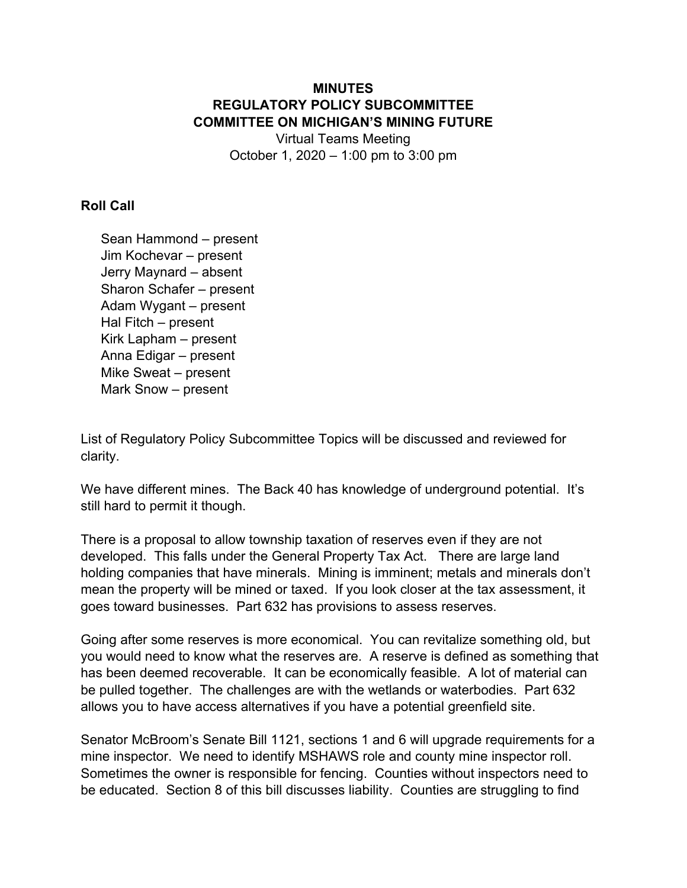## **MINUTES REGULATORY POLICY SUBCOMMITTEE COMMITTEE ON MICHIGAN'S MINING FUTURE**

Virtual Teams Meeting October 1, 2020 – 1:00 pm to 3:00 pm

## **Roll Call**

Sean Hammond – present Jim Kochevar – present Jerry Maynard – absent Sharon Schafer – present Adam Wygant – present Hal Fitch – present Kirk Lapham – present Anna Edigar – present Mike Sweat – present Mark Snow – present

List of Regulatory Policy Subcommittee Topics will be discussed and reviewed for clarity.

We have different mines. The Back 40 has knowledge of underground potential. It's still hard to permit it though.

There is a proposal to allow township taxation of reserves even if they are not developed. This falls under the General Property Tax Act. There are large land holding companies that have minerals. Mining is imminent; metals and minerals don't mean the property will be mined or taxed. If you look closer at the tax assessment, it goes toward businesses. Part 632 has provisions to assess reserves.

Going after some reserves is more economical. You can revitalize something old, but you would need to know what the reserves are. A reserve is defined as something that has been deemed recoverable. It can be economically feasible. A lot of material can be pulled together. The challenges are with the wetlands or waterbodies. Part 632 allows you to have access alternatives if you have a potential greenfield site.

Senator McBroom's Senate Bill 1121, sections 1 and 6 will upgrade requirements for a mine inspector. We need to identify MSHAWS role and county mine inspector roll. Sometimes the owner is responsible for fencing. Counties without inspectors need to be educated. Section 8 of this bill discusses liability. Counties are struggling to find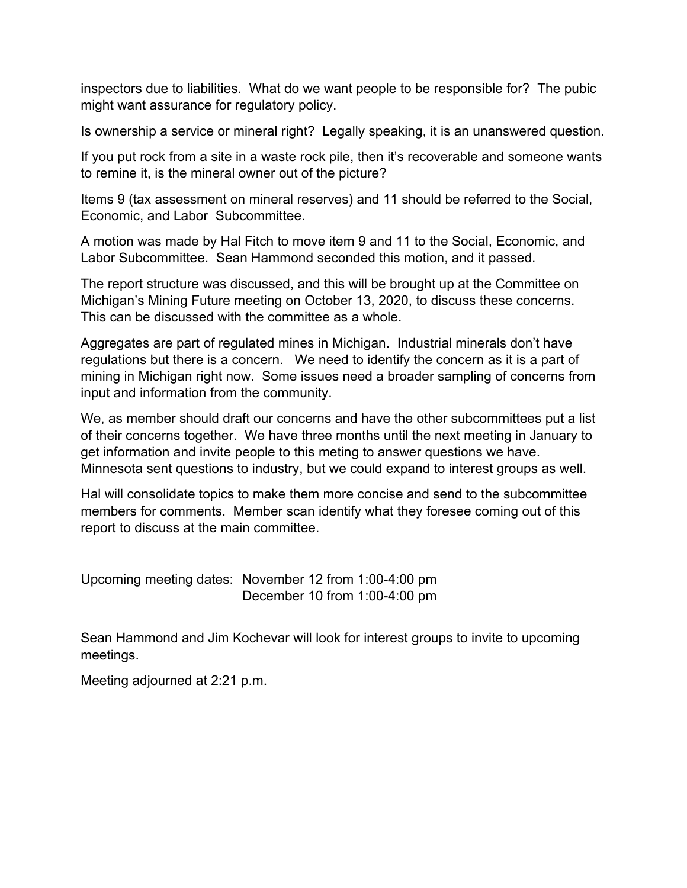inspectors due to liabilities. What do we want people to be responsible for? The pubic might want assurance for regulatory policy.

Is ownership a service or mineral right? Legally speaking, it is an unanswered question.

If you put rock from a site in a waste rock pile, then it's recoverable and someone wants to remine it, is the mineral owner out of the picture?

Items 9 (tax assessment on mineral reserves) and 11 should be referred to the Social, Economic, and Labor Subcommittee.

A motion was made by Hal Fitch to move item 9 and 11 to the Social, Economic, and Labor Subcommittee. Sean Hammond seconded this motion, and it passed.

The report structure was discussed, and this will be brought up at the Committee on Michigan's Mining Future meeting on October 13, 2020, to discuss these concerns. This can be discussed with the committee as a whole.

Aggregates are part of regulated mines in Michigan. Industrial minerals don't have regulations but there is a concern. We need to identify the concern as it is a part of mining in Michigan right now. Some issues need a broader sampling of concerns from input and information from the community.

We, as member should draft our concerns and have the other subcommittees put a list of their concerns together. We have three months until the next meeting in January to get information and invite people to this meting to answer questions we have. Minnesota sent questions to industry, but we could expand to interest groups as well.

Hal will consolidate topics to make them more concise and send to the subcommittee members for comments. Member scan identify what they foresee coming out of this report to discuss at the main committee.

Upcoming meeting dates: November 12 from 1:00-4:00 pm December 10 from 1:00-4:00 pm

Sean Hammond and Jim Kochevar will look for interest groups to invite to upcoming meetings.

Meeting adjourned at 2:21 p.m.